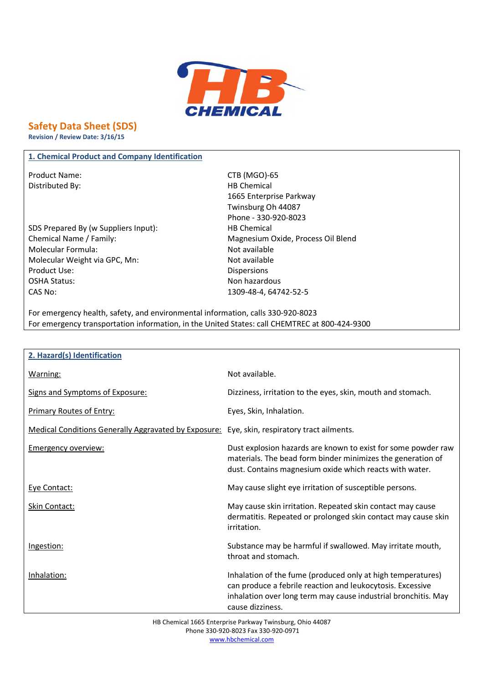

# **Safety Data Sheet (SDS)**

**Revision / Review Date: 3/16/15**

### **1. Chemical Product and Company Identification**

Product Name: CTB (MGO)-65 Distributed By: Notice and Separate Separate Separate Separate Separate Separate Separate Separate Separate Separate Separate Separate Separate Separate Separate Separate Separate Separate Separate Separate Separate Separa

SDS Prepared By (w Suppliers Input): HB Chemical Chemical Name / Family: Chemical Name / Family: Magnesium Oxide, Process Oil Blend Molecular Formula: Not available Molecular Weight via GPC, Mn: Not available Product Use: Notice and the Dispersions of the Dispersions of the Dispersions of the Dispersions of the Dispersions of the Dispersions of the Dispersions of the Dispersions of the Dispersions of the Dispersions of the Disp OSHA Status: Non hazardous CAS No: 1309-48-4, 64742-52-5

1665 Enterprise Parkway Twinsburg Oh 44087 Phone - 330-920-8023

For emergency health, safety, and environmental information, calls 330-920-8023 For emergency transportation information, in the United States: call CHEMTREC at 800-424-9300

| 2. Hazard(s) Identification                                                                 |                                                                                                                                                                                                                 |
|---------------------------------------------------------------------------------------------|-----------------------------------------------------------------------------------------------------------------------------------------------------------------------------------------------------------------|
| Warning:                                                                                    | Not available.                                                                                                                                                                                                  |
| Signs and Symptoms of Exposure:                                                             | Dizziness, irritation to the eyes, skin, mouth and stomach.                                                                                                                                                     |
| <b>Primary Routes of Entry:</b>                                                             | Eyes, Skin, Inhalation.                                                                                                                                                                                         |
| Medical Conditions Generally Aggravated by Exposure: Eye, skin, respiratory tract ailments. |                                                                                                                                                                                                                 |
| <b>Emergency overview:</b>                                                                  | Dust explosion hazards are known to exist for some powder raw<br>materials. The bead form binder minimizes the generation of<br>dust. Contains magnesium oxide which reacts with water.                         |
| Eye Contact:                                                                                | May cause slight eye irritation of susceptible persons.                                                                                                                                                         |
| <b>Skin Contact:</b>                                                                        | May cause skin irritation. Repeated skin contact may cause<br>dermatitis. Repeated or prolonged skin contact may cause skin<br>irritation.                                                                      |
| Ingestion:                                                                                  | Substance may be harmful if swallowed. May irritate mouth,<br>throat and stomach.                                                                                                                               |
| Inhalation:                                                                                 | Inhalation of the fume (produced only at high temperatures)<br>can produce a febrile reaction and leukocytosis. Excessive<br>inhalation over long term may cause industrial bronchitis. May<br>cause dizziness. |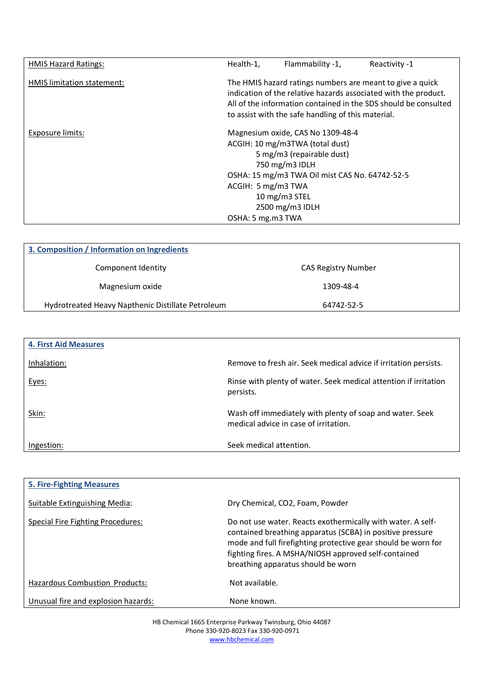| <b>HMIS Hazard Ratings:</b> | Health-1,                               | Flammability -1,                                                                                                                                                                                          | Reactivity -1                                                                                                                                                                                   |
|-----------------------------|-----------------------------------------|-----------------------------------------------------------------------------------------------------------------------------------------------------------------------------------------------------------|-------------------------------------------------------------------------------------------------------------------------------------------------------------------------------------------------|
| HMIS limitation statement:  |                                         | to assist with the safe handling of this material.                                                                                                                                                        | The HMIS hazard ratings numbers are meant to give a quick<br>indication of the relative hazards associated with the product.<br>All of the information contained in the SDS should be consulted |
| Exposure limits:            | ACGIH: 5 mg/m3 TWA<br>OSHA: 5 mg.m3 TWA | Magnesium oxide, CAS No 1309-48-4<br>ACGIH: 10 mg/m3TWA (total dust)<br>5 mg/m3 (repairable dust)<br>750 mg/m3 IDLH<br>OSHA: 15 mg/m3 TWA Oil mist CAS No. 64742-52-5<br>10 mg/m3 STEL<br>2500 mg/m3 IDLH |                                                                                                                                                                                                 |

| 3. Composition / Information on Ingredients       |                            |  |
|---------------------------------------------------|----------------------------|--|
| Component Identity                                | <b>CAS Registry Number</b> |  |
| Magnesium oxide                                   | 1309-48-4                  |  |
| Hydrotreated Heavy Napthenic Distillate Petroleum | 64742-52-5                 |  |

| <b>4. First Aid Measures</b> |                                                                                                   |
|------------------------------|---------------------------------------------------------------------------------------------------|
| Inhalation:                  | Remove to fresh air. Seek medical advice if irritation persists.                                  |
| Eyes:                        | Rinse with plenty of water. Seek medical attention if irritation<br>persists.                     |
| Skin:                        | Wash off immediately with plenty of soap and water. Seek<br>medical advice in case of irritation. |
| Ingestion:                   | Seek medical attention.                                                                           |

| <b>5. Fire-Fighting Measures</b>         |                                                                                                                                                                                                                                                                                         |
|------------------------------------------|-----------------------------------------------------------------------------------------------------------------------------------------------------------------------------------------------------------------------------------------------------------------------------------------|
| Suitable Extinguishing Media:            | Dry Chemical, CO2, Foam, Powder                                                                                                                                                                                                                                                         |
| <b>Special Fire Fighting Procedures:</b> | Do not use water. Reacts exothermically with water. A self-<br>contained breathing apparatus (SCBA) in positive pressure<br>mode and full firefighting protective gear should be worn for<br>fighting fires. A MSHA/NIOSH approved self-contained<br>breathing apparatus should be worn |
| <b>Hazardous Combustion Products:</b>    | Not available.                                                                                                                                                                                                                                                                          |
| Unusual fire and explosion hazards:      | None known.                                                                                                                                                                                                                                                                             |

HB Chemical 1665 Enterprise Parkway Twinsburg, Ohio 44087 Phone 330-920-8023 Fax 330-920-0971 www.hbchemical.com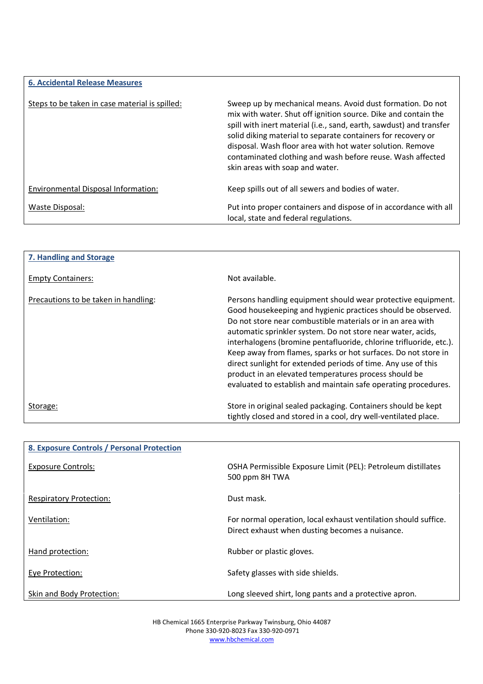| <b>6. Accidental Release Measures</b>          |                                                                                                                                                                                                                                                                                                                                                                                                                                   |
|------------------------------------------------|-----------------------------------------------------------------------------------------------------------------------------------------------------------------------------------------------------------------------------------------------------------------------------------------------------------------------------------------------------------------------------------------------------------------------------------|
| Steps to be taken in case material is spilled: | Sweep up by mechanical means. Avoid dust formation. Do not<br>mix with water. Shut off ignition source. Dike and contain the<br>spill with inert material (i.e., sand, earth, sawdust) and transfer<br>solid diking material to separate containers for recovery or<br>disposal. Wash floor area with hot water solution. Remove<br>contaminated clothing and wash before reuse. Wash affected<br>skin areas with soap and water. |
| Environmental Disposal Information:            | Keep spills out of all sewers and bodies of water.                                                                                                                                                                                                                                                                                                                                                                                |
| Waste Disposal:                                | Put into proper containers and dispose of in accordance with all<br>local, state and federal regulations.                                                                                                                                                                                                                                                                                                                         |

| 7. Handling and Storage              |                                                                                                                                                                                                                                                                                                                                                                                                                                                                                                                                                                                               |
|--------------------------------------|-----------------------------------------------------------------------------------------------------------------------------------------------------------------------------------------------------------------------------------------------------------------------------------------------------------------------------------------------------------------------------------------------------------------------------------------------------------------------------------------------------------------------------------------------------------------------------------------------|
| <b>Empty Containers:</b>             | Not available.                                                                                                                                                                                                                                                                                                                                                                                                                                                                                                                                                                                |
| Precautions to be taken in handling: | Persons handling equipment should wear protective equipment.<br>Good housekeeping and hygienic practices should be observed.<br>Do not store near combustible materials or in an area with<br>automatic sprinkler system. Do not store near water, acids,<br>interhalogens (bromine pentafluoride, chlorine trifluoride, etc.).<br>Keep away from flames, sparks or hot surfaces. Do not store in<br>direct sunlight for extended periods of time. Any use of this<br>product in an elevated temperatures process should be<br>evaluated to establish and maintain safe operating procedures. |
| Storage:                             | Store in original sealed packaging. Containers should be kept<br>tightly closed and stored in a cool, dry well-ventilated place.                                                                                                                                                                                                                                                                                                                                                                                                                                                              |

| 8. Exposure Controls / Personal Protection |                                                                                                                    |
|--------------------------------------------|--------------------------------------------------------------------------------------------------------------------|
| Exposure Controls:                         | OSHA Permissible Exposure Limit (PEL): Petroleum distillates<br>500 ppm 8H TWA                                     |
| <b>Respiratory Protection:</b>             | Dust mask.                                                                                                         |
| Ventilation:                               | For normal operation, local exhaust ventilation should suffice.<br>Direct exhaust when dusting becomes a nuisance. |
| Hand protection:                           | Rubber or plastic gloves.                                                                                          |
| Eye Protection:                            | Safety glasses with side shields.                                                                                  |
| Skin and Body Protection:                  | Long sleeved shirt, long pants and a protective apron.                                                             |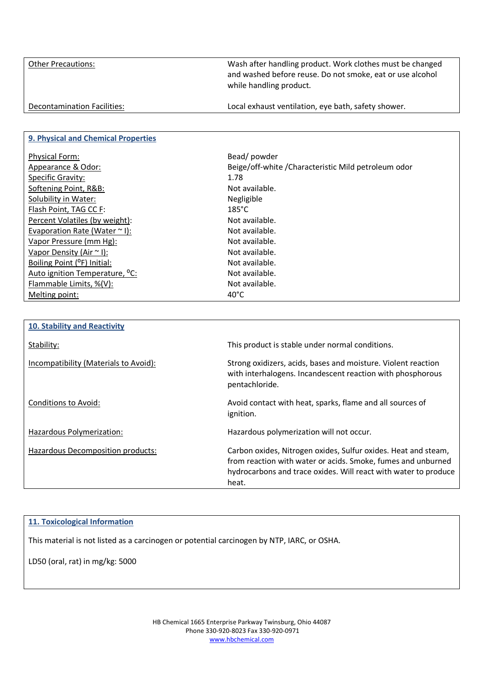Other Precautions: Wash after handling product. Work clothes must be changed and washed before reuse. Do not smoke, eat or use alcohol while handling product. Decontamination Facilities: Local exhaust ventilation, eye bath, safety shower.

## **9. Physical and Chemical Properties**

| <b>Physical Form:</b>                      | Bead/powder                                        |
|--------------------------------------------|----------------------------------------------------|
| Appearance & Odor:                         | Beige/off-white/Characteristic Mild petroleum odor |
| Specific Gravity:                          | 1.78                                               |
| Softening Point, R&B:                      | Not available.                                     |
| Solubility in Water:                       | Negligible                                         |
| Flash Point, TAG CC F:                     | $185^{\circ}$ C                                    |
| Percent Volatiles (by weight):             | Not available.                                     |
| Evaporation Rate (Water $\sim$ I):         | Not available.                                     |
| Vapor Pressure (mm Hg):                    | Not available.                                     |
| Vapor Density (Air $\sim$ I):              | Not available.                                     |
| Boiling Point (°F) Initial:                | Not available.                                     |
| Auto ignition Temperature, <sup>o</sup> C: | Not available.                                     |
| Flammable Limits, %(V):                    | Not available.                                     |
| Melting point:                             | $40^{\circ}$ C                                     |

| <b>10. Stability and Reactivity</b>   |                                                                                                                                                                                                            |
|---------------------------------------|------------------------------------------------------------------------------------------------------------------------------------------------------------------------------------------------------------|
| Stability:                            | This product is stable under normal conditions.                                                                                                                                                            |
| Incompatibility (Materials to Avoid): | Strong oxidizers, acids, bases and moisture. Violent reaction<br>with interhalogens. Incandescent reaction with phosphorous<br>pentachloride.                                                              |
| Conditions to Avoid:                  | Avoid contact with heat, sparks, flame and all sources of<br>ignition.                                                                                                                                     |
| Hazardous Polymerization:             | Hazardous polymerization will not occur.                                                                                                                                                                   |
| Hazardous Decomposition products:     | Carbon oxides, Nitrogen oxides, Sulfur oxides. Heat and steam,<br>from reaction with water or acids. Smoke, fumes and unburned<br>hydrocarbons and trace oxides. Will react with water to produce<br>heat. |

#### **11. Toxicological Information**

This material is not listed as a carcinogen or potential carcinogen by NTP, IARC, or OSHA.

LD50 (oral, rat) in mg/kg: 5000